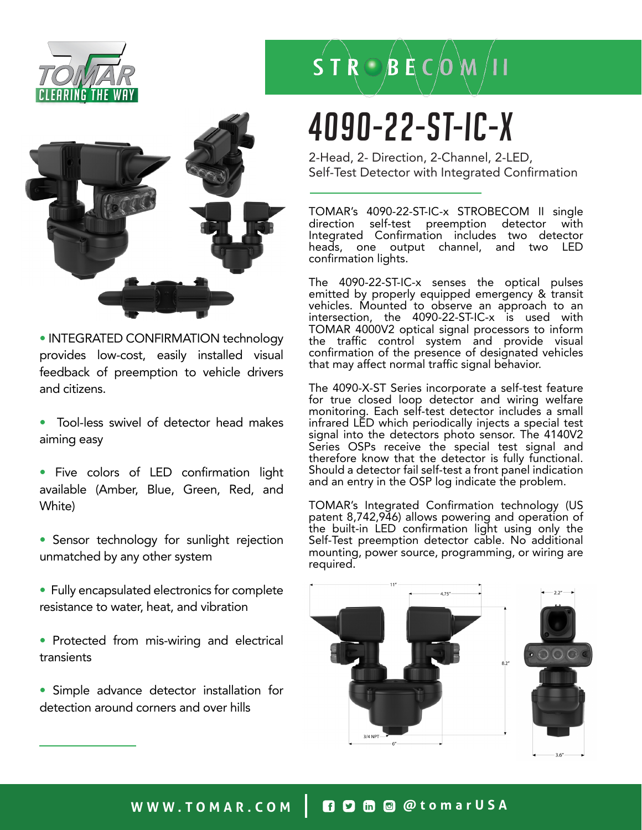



• INTEGRATED CONFIRMATION technology provides low-cost, easily installed visual feedback of preemption to vehicle drivers and citizens.

- Tool-less swivel of detector head makes aiming easy
- Five colors of LED confirmation light available (Amber, Blue, Green, Red, and White)
- Sensor technology for sunlight rejection unmatched by any other system
- Fully encapsulated electronics for complete resistance to water, heat, and vibration
- Protected from mis-wiring and electrical transients
- Simple advance detector installation for detection around corners and over hills

## $S T R \bigcirc B E C$  (0 M /11

# 4090-22-ST-IC-x

2-Head, 2- Direction, 2-Channel, 2-LED, Self-Test Detector with Integrated Confirmation

TOMAR's 4090-22-ST-IC-x STROBECOM II single direction self-test preemption detector Integrated Confirmation includes two detector heads, one output channel, and two confirmation lights.

The 4090-22-ST-IC-x senses the optical pulses emitted by properly equipped emergency & transit vehicles. Mounted to observe an approach to an intersection, the 4090-22-ST-IC-x is used with TOMAR 4000V2 optical signal processors to inform the traffic control system and provide visual confirmation of the presence of designated vehicles that may affect normal traffic signal behavior.

The 4090-X-ST Series incorporate a self-test feature for true closed loop detector and wiring welfare monitoring. Each self-test detector includes a small infrared LED which periodically injects a special test signal into the detectors photo sensor. The 4140V2 Series OSPs receive the special test signal and therefore know that the detector is fully functional. Should a detector fail self-test a front panel indication and an entry in the OSP log indicate the problem.

TOMAR's Integrated Confirmation technology (US patent 8,742,946) allows powering and operation of the built-in LED confirmation light using only the Self-Test preemption detector cable. No additional mounting, power source, programming, or wiring are required.



### WWW.TOMAR.COM | **0000** @ @tomarUSA